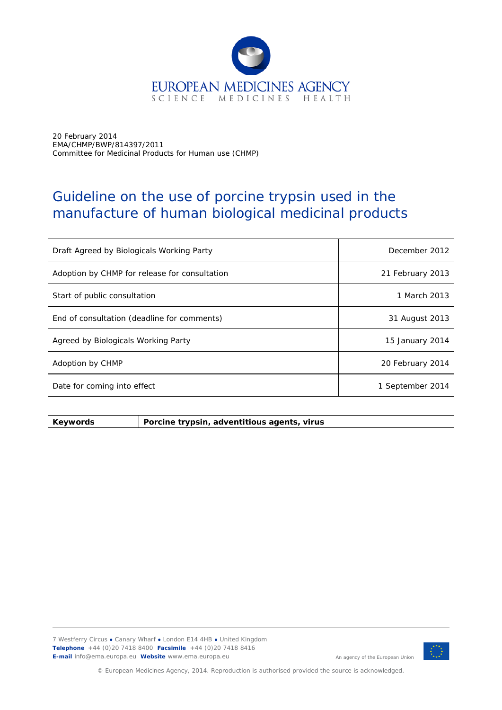

20 February 2014 EMA/CHMP/BWP/814397/2011 Committee for Medicinal Products for Human use (CHMP)

# Guideline on the use of porcine trypsin used in the manufacture of human biological medicinal products

| Draft Agreed by Biologicals Working Party     | December 2012    |
|-----------------------------------------------|------------------|
| Adoption by CHMP for release for consultation | 21 February 2013 |
| Start of public consultation                  | 1 March 2013     |
| End of consultation (deadline for comments)   | 31 August 2013   |
| Agreed by Biologicals Working Party           | 15 January 2014  |
| Adoption by CHMP                              | 20 February 2014 |
| Date for coming into effect                   | 1 September 2014 |

**Keywords** *Porcine trypsin, adventitious agents, virus* 

7 Westferry Circus **●** Canary Wharf **●** London E14 4HB **●** United Kingdom **Telephone** +44 (0)20 7418 8400 **Facsimile** +44 (0)20 7418 8416 **E-mail** info@ema.europa.eu **Website** www.ema.europa.eu



An agency of the European Union

© European Medicines Agency, 2014. Reproduction is authorised provided the source is acknowledged.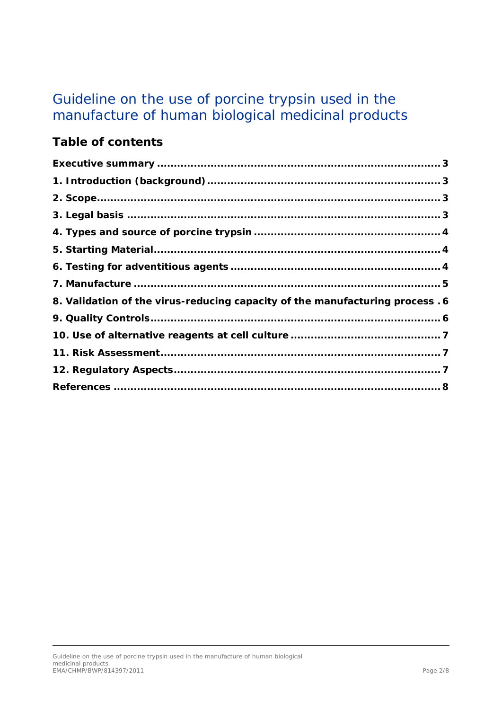# Guideline on the use of porcine trypsin used in the manufacture of human biological medicinal products

# **Table of contents**

| 8. Validation of the virus-reducing capacity of the manufacturing process . 6 |  |
|-------------------------------------------------------------------------------|--|
|                                                                               |  |
|                                                                               |  |
|                                                                               |  |
|                                                                               |  |
|                                                                               |  |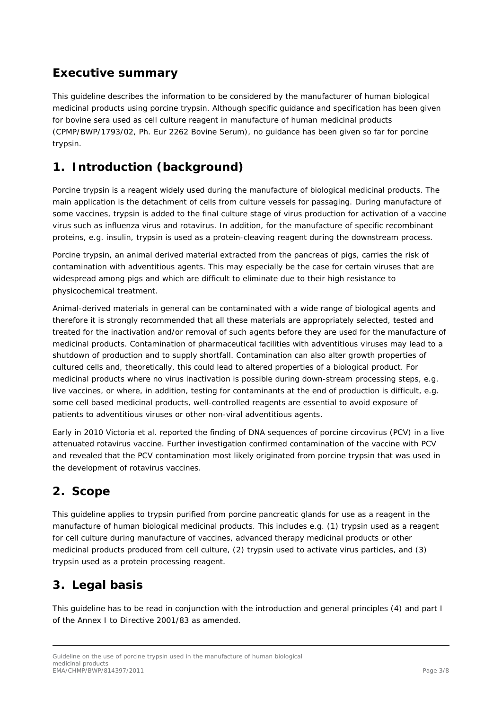# <span id="page-2-0"></span>**Executive summary**

This guideline describes the information to be considered by the manufacturer of human biological medicinal products using porcine trypsin. Although specific guidance and specification has been given for bovine sera used as cell culture reagent in manufacture of human medicinal products (CPMP/BWP/1793/02, Ph. Eur 2262 Bovine Serum), no guidance has been given so far for porcine trypsin.

# <span id="page-2-1"></span>**1. Introduction (background)**

Porcine trypsin is a reagent widely used during the manufacture of biological medicinal products. The main application is the detachment of cells from culture vessels for passaging. During manufacture of some vaccines, trypsin is added to the final culture stage of virus production for activation of a vaccine virus such as influenza virus and rotavirus. In addition, for the manufacture of specific recombinant proteins, e.g. insulin, trypsin is used as a protein-cleaving reagent during the downstream process.

Porcine trypsin, an animal derived material extracted from the pancreas of pigs, carries the risk of contamination with adventitious agents. This may especially be the case for certain viruses that are widespread among pigs and which are difficult to eliminate due to their high resistance to physicochemical treatment.

Animal-derived materials in general can be contaminated with a wide range of biological agents and therefore it is strongly recommended that all these materials are appropriately selected, tested and treated for the inactivation and/or removal of such agents before they are used for the manufacture of medicinal products. Contamination of pharmaceutical facilities with adventitious viruses may lead to a shutdown of production and to supply shortfall. Contamination can also alter growth properties of cultured cells and, theoretically, this could lead to altered properties of a biological product. For medicinal products where no virus inactivation is possible during down-stream processing steps, e.g. live vaccines, or where, in addition, testing for contaminants at the end of production is difficult, e.g. some cell based medicinal products, well-controlled reagents are essential to avoid exposure of patients to adventitious viruses or other non-viral adventitious agents.

Early in 2010 Victoria *et al.* reported the finding of DNA sequences of porcine circovirus (PCV) in a live attenuated rotavirus vaccine. Further investigation confirmed contamination of the vaccine with PCV and revealed that the PCV contamination most likely originated from porcine trypsin that was used in the development of rotavirus vaccines.

# <span id="page-2-2"></span>**2. Scope**

This guideline applies to trypsin purified from porcine pancreatic glands for use as a reagent in the manufacture of human biological medicinal products. This includes e.g. (1) trypsin used as a reagent for cell culture during manufacture of vaccines, advanced therapy medicinal products or other medicinal products produced from cell culture, (2) trypsin used to activate virus particles, and (3) trypsin used as a protein processing reagent.

# <span id="page-2-3"></span>**3. Legal basis**

This guideline has to be read in conjunction with the introduction and general principles (4) and part I of the Annex I to Directive 2001/83 as amended.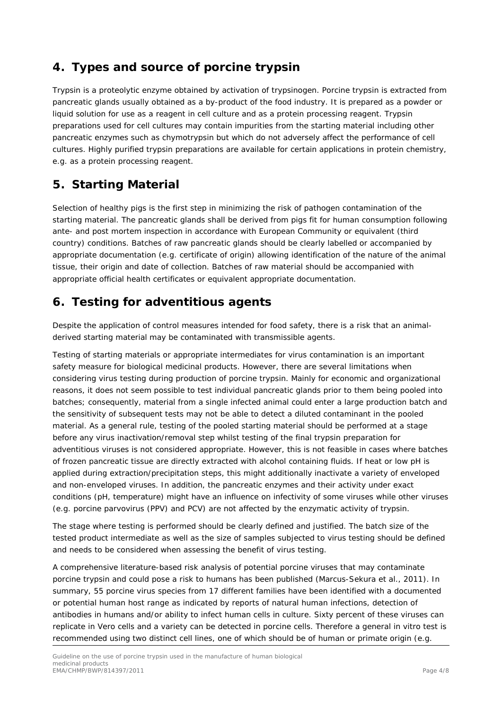# <span id="page-3-0"></span>**4. Types and source of porcine trypsin**

Trypsin is a proteolytic enzyme obtained by activation of trypsinogen. Porcine trypsin is extracted from pancreatic glands usually obtained as a by-product of the food industry. It is prepared as a powder or liquid solution for use as a reagent in cell culture and as a protein processing reagent. Trypsin preparations used for cell cultures may contain impurities from the starting material including other pancreatic enzymes such as chymotrypsin but which do not adversely affect the performance of cell cultures. Highly purified trypsin preparations are available for certain applications in protein chemistry, e.g. as a protein processing reagent.

# <span id="page-3-1"></span>**5. Starting Material**

Selection of healthy pigs is the first step in minimizing the risk of pathogen contamination of the starting material. The pancreatic glands shall be derived from pigs fit for human consumption following ante- and post mortem inspection in accordance with European Community or equivalent (third country) conditions. Batches of raw pancreatic glands should be clearly labelled or accompanied by appropriate documentation (e.g. certificate of origin) allowing identification of the nature of the animal tissue, their origin and date of collection. Batches of raw material should be accompanied with appropriate official health certificates or equivalent appropriate documentation.

# <span id="page-3-2"></span>**6. Testing for adventitious agents**

Despite the application of control measures intended for food safety, there is a risk that an animalderived starting material may be contaminated with transmissible agents.

Testing of starting materials or appropriate intermediates for virus contamination is an important safety measure for biological medicinal products. However, there are several limitations when considering virus testing during production of porcine trypsin. Mainly for economic and organizational reasons, it does not seem possible to test individual pancreatic glands prior to them being pooled into batches; consequently, material from a single infected animal could enter a large production batch and the sensitivity of subsequent tests may not be able to detect a diluted contaminant in the pooled material. As a general rule, testing of the pooled starting material should be performed at a stage before any virus inactivation/removal step whilst testing of the final trypsin preparation for adventitious viruses is not considered appropriate. However, this is not feasible in cases where batches of frozen pancreatic tissue are directly extracted with alcohol containing fluids. If heat or low pH is applied during extraction/precipitation steps, this might additionally inactivate a variety of enveloped and non-enveloped viruses. In addition, the pancreatic enzymes and their activity under exact conditions (pH, temperature) might have an influence on infectivity of some viruses while other viruses (e.g. porcine parvovirus (PPV) and PCV) are not affected by the enzymatic activity of trypsin.

The stage where testing is performed should be clearly defined and justified. The batch size of the tested product intermediate as well as the size of samples subjected to virus testing should be defined and needs to be considered when assessing the benefit of virus testing.

A comprehensive literature-based risk analysis of potential porcine viruses that may contaminate porcine trypsin and could pose a risk to humans has been published (Marcus-Sekura et al., 2011). In summary, 55 porcine virus species from 17 different families have been identified with a documented or potential human host range as indicated by reports of natural human infections, detection of antibodies in humans and/or ability to infect human cells in culture. Sixty percent of these viruses can replicate in Vero cells and a variety can be detected in porcine cells. Therefore a general *in vitro* test is recommended using two distinct cell lines, one of which should be of human or primate origin (e.g.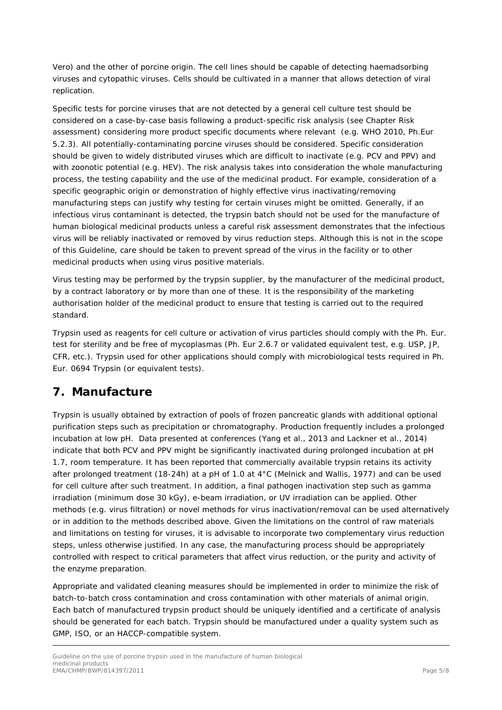Vero) and the other of porcine origin. The cell lines should be capable of detecting haemadsorbing viruses and cytopathic viruses. Cells should be cultivated in a manner that allows detection of viral replication.

Specific tests for porcine viruses that are not detected by a general cell culture test should be considered on a case-by-case basis following a product-specific risk analysis (see Chapter Risk assessment) considering more product specific documents where relevant (e.g. WHO 2010, Ph.Eur 5.2.3). All potentially-contaminating porcine viruses should be considered. Specific consideration should be given to widely distributed viruses which are difficult to inactivate (e.g. PCV and PPV) and with zoonotic potential (e.g. HEV). The risk analysis takes into consideration the whole manufacturing process, the testing capability and the use of the medicinal product. For example, consideration of a specific geographic origin or demonstration of highly effective virus inactivating/removing manufacturing steps can justify why testing for certain viruses might be omitted. Generally, if an infectious virus contaminant is detected, the trypsin batch should not be used for the manufacture of human biological medicinal products unless a careful risk assessment demonstrates that the infectious virus will be reliably inactivated or removed by virus reduction steps. Although this is not in the scope of this Guideline, care should be taken to prevent spread of the virus in the facility or to other medicinal products when using virus positive materials.

Virus testing may be performed by the trypsin supplier, by the manufacturer of the medicinal product, by a contract laboratory or by more than one of these. It is the responsibility of the marketing authorisation holder of the medicinal product to ensure that testing is carried out to the required standard.

Trypsin used as reagents for cell culture or activation of virus particles should comply with the Ph. Eur. test for sterility and be free of mycoplasmas (Ph. Eur 2.6.7 or validated equivalent test, e.g. USP, JP, CFR, etc.). Trypsin used for other applications should comply with microbiological tests required in Ph. Eur. 0694 Trypsin (or equivalent tests).

#### <span id="page-4-0"></span>**7. Manufacture**

Trypsin is usually obtained by extraction of pools of frozen pancreatic glands with additional optional purification steps such as precipitation or chromatography. Production frequently includes a prolonged incubation at low pH. Data presented at conferences (Yang et al., 2013 and Lackner et al., 2014) indicate that both PCV and PPV might be significantly inactivated during prolonged incubation at pH 1.7, room temperature. It has been reported that commercially available trypsin retains its activity after prolonged treatment (18-24h) at a pH of 1.0 at 4°C (Melnick and Wallis, 1977) and can be used for cell culture after such treatment. In addition, a final pathogen inactivation step such as gamma irradiation (minimum dose 30 kGy), e-beam irradiation, or UV irradiation can be applied. Other methods (e.g. virus filtration) or novel methods for virus inactivation/removal can be used alternatively or in addition to the methods described above. Given the limitations on the control of raw materials and limitations on testing for viruses, it is advisable to incorporate two complementary virus reduction steps, unless otherwise justified. In any case, the manufacturing process should be appropriately controlled with respect to critical parameters that affect virus reduction, or the purity and activity of the enzyme preparation.

Appropriate and validated cleaning measures should be implemented in order to minimize the risk of batch-to-batch cross contamination and cross contamination with other materials of animal origin. Each batch of manufactured trypsin product should be uniquely identified and a certificate of analysis should be generated for each batch. Trypsin should be manufactured under a quality system such as GMP, ISO, or an HACCP-compatible system.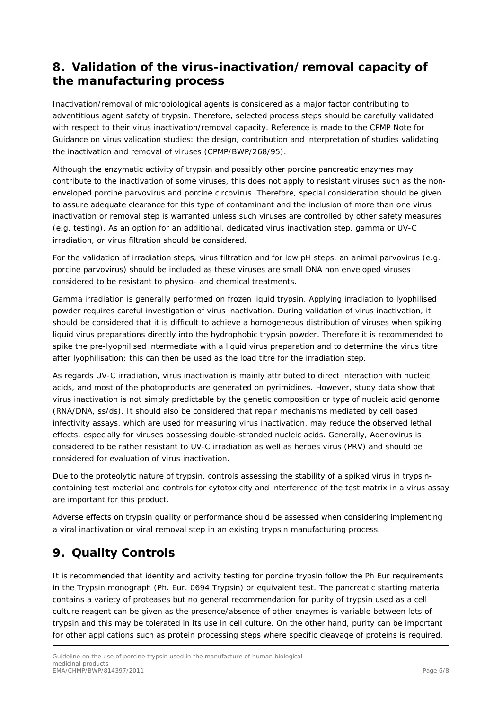#### <span id="page-5-0"></span>**8. Validation of the virus-inactivation/removal capacity of the manufacturing process**

Inactivation/removal of microbiological agents is considered as a major factor contributing to adventitious agent safety of trypsin. Therefore, selected process steps should be carefully validated with respect to their virus inactivation/removal capacity. Reference is made to the CPMP Note for Guidance on virus validation studies: the design, contribution and interpretation of studies validating the inactivation and removal of viruses (CPMP/BWP/268/95).

Although the enzymatic activity of trypsin and possibly other porcine pancreatic enzymes may contribute to the inactivation of some viruses, this does not apply to resistant viruses such as the nonenveloped porcine parvovirus and porcine circovirus. Therefore, special consideration should be given to assure adequate clearance for this type of contaminant and the inclusion of more than one virus inactivation or removal step is warranted unless such viruses are controlled by other safety measures (e.g. testing). As an option for an additional, dedicated virus inactivation step, gamma or UV-C irradiation, or virus filtration should be considered.

For the validation of irradiation steps, virus filtration and for low pH steps, an animal parvovirus (e.g. porcine parvovirus) should be included as these viruses are small DNA non enveloped viruses considered to be resistant to physico- and chemical treatments.

Gamma irradiation is generally performed on frozen liquid trypsin. Applying irradiation to lyophilised powder requires careful investigation of virus inactivation. During validation of virus inactivation, it should be considered that it is difficult to achieve a homogeneous distribution of viruses when spiking liquid virus preparations directly into the hydrophobic trypsin powder. Therefore it is recommended to spike the pre-lyophilised intermediate with a liquid virus preparation and to determine the virus titre after lyophilisation; this can then be used as the load titre for the irradiation step.

As regards UV-C irradiation, virus inactivation is mainly attributed to direct interaction with nucleic acids, and most of the photoproducts are generated on pyrimidines. However, study data show that virus inactivation is not simply predictable by the genetic composition or type of nucleic acid genome (RNA/DNA, ss/ds). It should also be considered that repair mechanisms mediated by cell based infectivity assays, which are used for measuring virus inactivation, may reduce the observed lethal effects, especially for viruses possessing double-stranded nucleic acids. Generally, Adenovirus is considered to be rather resistant to UV-C irradiation as well as herpes virus (PRV) and should be considered for evaluation of virus inactivation.

Due to the proteolytic nature of trypsin, controls assessing the stability of a spiked virus in trypsincontaining test material and controls for cytotoxicity and interference of the test matrix in a virus assay are important for this product.

Adverse effects on trypsin quality or performance should be assessed when considering implementing a viral inactivation or viral removal step in an existing trypsin manufacturing process.

# <span id="page-5-1"></span>**9. Quality Controls**

It is recommended that identity and activity testing for porcine trypsin follow the Ph Eur requirements in the Trypsin monograph (Ph. Eur. 0694 Trypsin) or equivalent test. The pancreatic starting material contains a variety of proteases but no general recommendation for purity of trypsin used as a cell culture reagent can be given as the presence/absence of other enzymes is variable between lots of trypsin and this may be tolerated in its use in cell culture. On the other hand, purity can be important for other applications such as protein processing steps where specific cleavage of proteins is required.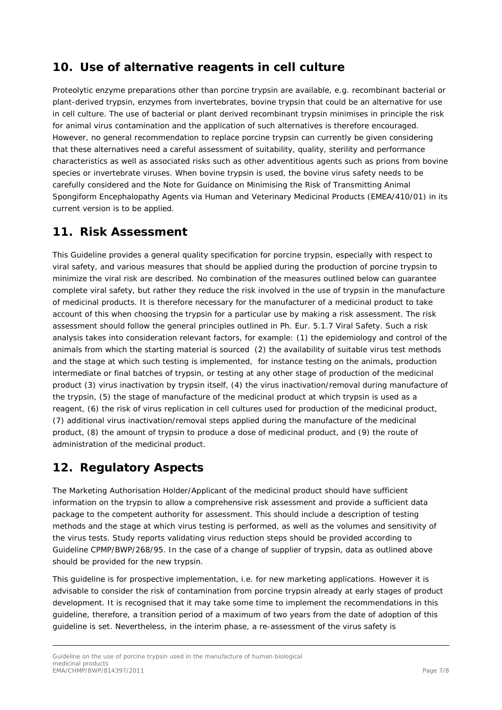# <span id="page-6-0"></span>**10. Use of alternative reagents in cell culture**

Proteolytic enzyme preparations other than porcine trypsin are available, e.g. recombinant bacterial or plant-derived trypsin, enzymes from invertebrates, bovine trypsin that could be an alternative for use in cell culture. The use of bacterial or plant derived recombinant trypsin minimises in principle the risk for animal virus contamination and the application of such alternatives is therefore encouraged. However, no general recommendation to replace porcine trypsin can currently be given considering that these alternatives need a careful assessment of suitability, quality, sterility and performance characteristics as well as associated risks such as other adventitious agents such as prions from bovine species or invertebrate viruses. When bovine trypsin is used, the bovine virus safety needs to be carefully considered and the Note for Guidance on Minimising the Risk of Transmitting Animal Spongiform Encephalopathy Agents via Human and Veterinary Medicinal Products (EMEA/410/01) in its current version is to be applied.

# <span id="page-6-1"></span>**11. Risk Assessment**

This Guideline provides a general quality specification for porcine trypsin, especially with respect to viral safety, and various measures that should be applied during the production of porcine trypsin to minimize the viral risk are described. No combination of the measures outlined below can guarantee complete viral safety, but rather they reduce the risk involved in the use of trypsin in the manufacture of medicinal products. It is therefore necessary for the manufacturer of a medicinal product to take account of this when choosing the trypsin for a particular use by making a risk assessment. The risk assessment should follow the general principles outlined in Ph. Eur. 5.1.7 Viral Safety. Such a risk analysis takes into consideration relevant factors, for example: (1) the epidemiology and control of the animals from which the starting material is sourced (2) the availability of suitable virus test methods and the stage at which such testing is implemented, for instance testing on the animals, production intermediate or final batches of trypsin, or testing at any other stage of production of the medicinal product (3) virus inactivation by trypsin itself, (4) the virus inactivation/removal during manufacture of the trypsin, (5) the stage of manufacture of the medicinal product at which trypsin is used as a reagent, (6) the risk of virus replication in cell cultures used for production of the medicinal product, (7) additional virus inactivation/removal steps applied during the manufacture of the medicinal product, (8) the amount of trypsin to produce a dose of medicinal product, and (9) the route of administration of the medicinal product.

# <span id="page-6-2"></span>**12. Regulatory Aspects**

The Marketing Authorisation Holder/Applicant of the medicinal product should have sufficient information on the trypsin to allow a comprehensive risk assessment and provide a sufficient data package to the competent authority for assessment. This should include a description of testing methods and the stage at which virus testing is performed, as well as the volumes and sensitivity of the virus tests. Study reports validating virus reduction steps should be provided according to Guideline CPMP/BWP/268/95. In the case of a change of supplier of trypsin, data as outlined above should be provided for the new trypsin.

This guideline is for prospective implementation, i.e. for new marketing applications. However it is advisable to consider the risk of contamination from porcine trypsin already at early stages of product development. It is recognised that it may take some time to implement the recommendations in this guideline, therefore, a transition period of a maximum of two years from the date of adoption of this guideline is set. Nevertheless, in the interim phase, a re-assessment of the virus safety is